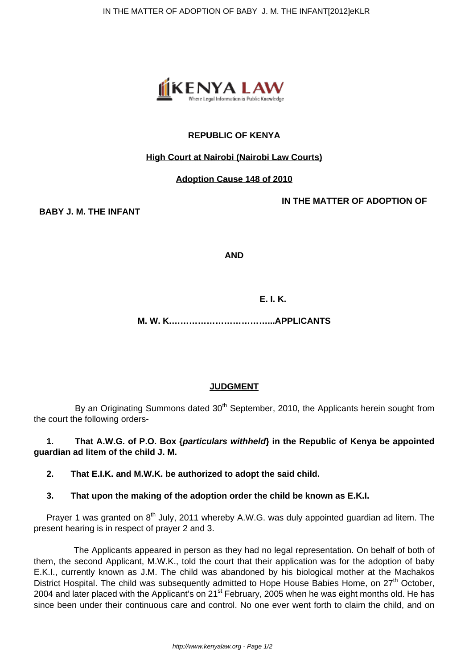

# **REPUBLIC OF KENYA**

#### **High Court at Nairobi (Nairobi Law Courts)**

#### **Adoption Cause 148 of 2010**

**IN THE MATTER OF ADOPTION OF**

**BABY J. M. THE INFANT**

**AND**

 **E. I. K.**

**M. W. K.……………………………...APPLICANTS**

## **JUDGMENT**

By an Originating Summons dated 30<sup>th</sup> September, 2010, the Applicants herein sought from the court the following orders-

**1. That A.W.G. of P.O. Box {particulars withheld} in the Republic of Kenya be appointed guardian ad litem of the child J. M.**

**2. That E.I.K. and M.W.K. be authorized to adopt the said child.**

## **3. That upon the making of the adoption order the child be known as E.K.I.**

Prayer 1 was granted on  $8<sup>th</sup>$  July, 2011 whereby A.W.G. was duly appointed guardian ad litem. The present hearing is in respect of prayer 2 and 3.

 The Applicants appeared in person as they had no legal representation. On behalf of both of them, the second Applicant, M.W.K., told the court that their application was for the adoption of baby E.K.I., currently known as J.M. The child was abandoned by his biological mother at the Machakos District Hospital. The child was subsequently admitted to Hope House Babies Home, on  $27<sup>th</sup>$  October, 2004 and later placed with the Applicant's on 21<sup>st</sup> February, 2005 when he was eight months old. He has since been under their continuous care and control. No one ever went forth to claim the child, and on